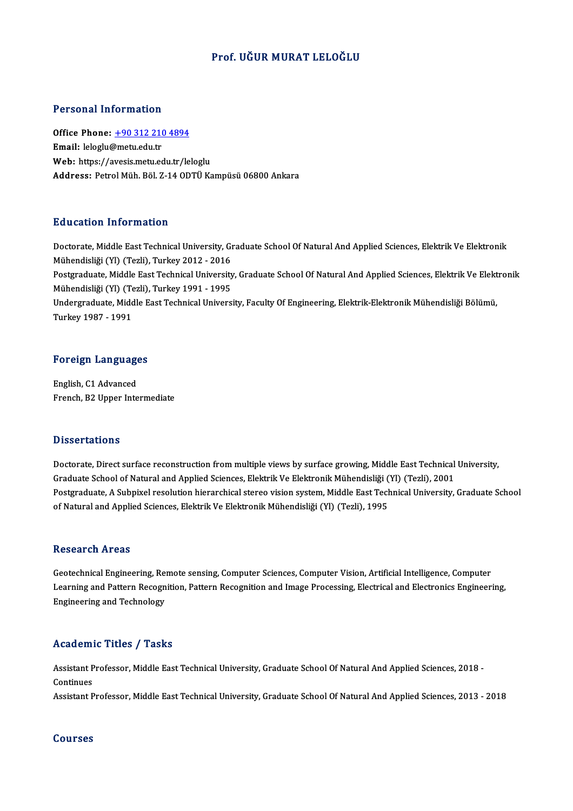#### Prof. UĞUR MURAT LELOĞLU

#### Personal Information

Personal Information<br>Office Phone: <u>+90 312 210 4894</u><br>Email: lelegly@matu.cdu.tr 1 ST SUBSTRATE THEST MELLOT<br>Office Phone: <u>+90 312 210</u><br>Email: leloglu@metu.edu.tr Email: leloglu@metu.edu.tr<br>Web: https://a[vesis.metu.edu.tr/le](tel:+90 312 210 4894)loglu Address: Petrol Müh. Böl. Z-14 ODTÜ Kampüsü 06800 Ankara

#### Education Information

Education Information<br>Doctorate, Middle East Technical University, Graduate School Of Natural And Applied Sciences, Elektrik Ve Elektronik<br>Mühandisliği (Vl) (Tarli), Turkay 2012, 2016 Mühendisliği (Yl) (Tezli), Turkey<br>Mühendisliği (Yl) (Tezli), Turkey 2012 - 2016<br>Restanaduate Middle Fest Teshnisel Universit Doctorate, Middle East Technical University, Graduate School Of Natural And Applied Sciences, Elektrik Ve Elektronik<br>Mühendisliği (Yl) (Tezli), Turkey 2012 - 2016<br>Postgraduate, Middle East Technical University, Graduate Sc Mühendisliği (Yl) (Tezli), Turkey 2012 - 2016<br>Postgraduate, Middle East Technical University, Graduate School Of Natural And Applied Sciences, Elektrik Ve Elektronik<br>Mühendisliği (Yl) (Tezli), Turkey 1991 - 1995 Postgraduate, Middle East Technical University, Graduate School Of Natural And Applied Sciences, Elektrik Ve Elekt<br>Mühendisliği (Yl) (Tezli), Turkey 1991 - 1995<br>Undergraduate, Middle East Technical University, Faculty Of E Mühendisliği (Yl) (Te<br>Undergraduate, Midc<br>Turkey 1987 - 1991

# Turkey 1987 - 1991<br>Foreign Languages

**Foreign Language<br>English, C1 Advanced<br>English, P3 Unner Inte** English, C1 Advanced<br>French, B2 Upper Intermediate

#### **Dissertations**

Doctorate, Direct surface reconstruction from multiple views by surface growing, Middle East Technical University, Basser tatronis<br>Doctorate, Direct surface reconstruction from multiple views by surface growing, Middle East Technical<br>Graduate School of Natural and Applied Sciences, Elektrik Ve Elektronik Mühendisliği (Yl) (Tezli), 2001 Postgraduate, A Subpixel resolution hierarchical stereo vision system, Middle East Technical University, Graduate School<br>of Natural and Applied Sciences, Elektrik Ve Elektronik Mühendisliği (Yl) (Tezli), 1995 Graduate School of Natural and Applied Sciences, Elektrik Ve Elektronik Mühendisliği (<br>Postgraduate, A Subpixel resolution hierarchical stereo vision system, Middle East Tecl<br>of Natural and Applied Sciences, Elektrik Ve El

#### Research Areas

Research Areas<br>Geotechnical Engineering, Remote sensing, Computer Sciences, Computer Vision, Artificial Intelligence, Computer<br>Learning and Pattern Besegnition, Pettern Besegnition and Image Presessing, Electrical and Elec Learning and Pattern Recognition, Pattern Recognition and Image Processing, Electrical and Electronics Engineering,<br>Engineering and Technology Geotechnical Engineering, Re:<br>Learning and Pattern Recogn<br>Engineering and Technology

#### Academic Titles / Tasks

Academic Titles / Tasks<br>Assistant Professor, Middle East Technical University, Graduate School Of Natural And Applied Sciences, 2018 -<br>Continues Assistant P<br>Continues<br>Assistant P Continues<br>Assistant Professor, Middle East Technical University, Graduate School Of Natural And Applied Sciences, 2013 - 2018

#### Courses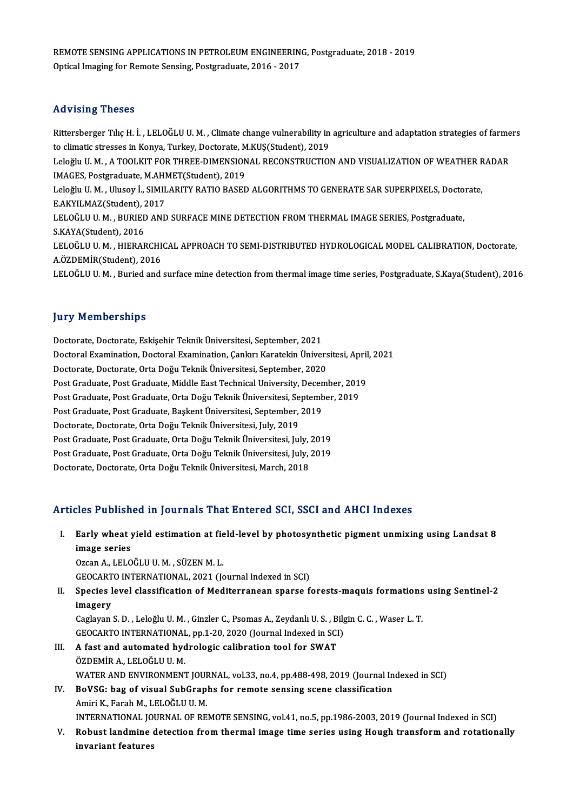REMOTE SENSING APPLICATIONS IN PETROLEUM ENGINEERING, Postgraduate, 2018 - 2019<br>Optical Imaging for Bernate Sensing, Postgraduate, 2016 - 2017 REMOTE SENSING APPLICATIONS IN PETROLEUM ENGINEERIN<br>Optical Imaging for Remote Sensing, Postgraduate, 2016 - 2017 Optical Imaging for Remote Sensing, Postgraduate, 2016 - 2017<br>Advising Theses

Advising Theses<br>Rittersberger Tılıç H. İ. , LELOĞLU U. M. , Climate change vulnerability in agriculture and adaptation strategies of farmers<br>to climatic strasses in Konya Turkey, Dostorata MKUS(Student), 2019 to climatic stresses<br>Rittersberger Tılıç H. İ. , LELOĞLU U. M. , Climate change vulnerability in<br>to climatic stresses in Konya, Turkey, Doctorate, M.KUŞ(Student), 2019<br>Leloğlu II. M. - A TOOLKIT FOR TURER DIMENSIONAL RECON Rittersberger Tılıç H. İ. , LELOĞLU U. M. , Climate change vulnerability in agriculture and adaptation strategies of farme<br>to climatic stresses in Konya, Turkey, Doctorate, M.KUŞ(Student), 2019<br>Leloğlu U. M. , A TOOLKIT FO to climatic stresses in Konya, Turkey, Doctorate, M.KUŞ(Student), 2019<br>Leloğlu U. M. , A TOOLKIT FOR THREE-DIMENSIONAL RECONSTRUCTIO<br>IMAGES, Postgraduate, M.AHMET(Student), 2019 Leloğlu U. M. , A TOOLKIT FOR THREE-DIMENSIONAL RECONSTRUCTION AND VISUALIZATION OF WEATHER RADAR<br>IMAGES, Postgraduate, M.AHMET(Student), 2019<br>Leloğlu U. M. , Ulusoy İ., SIMILARITY RATIO BASED ALGORITHMS TO GENERATE SAR SU Leloğlu U. M., Ulusoy İ., SIMILARITY RATIO BASED ALGORITHMS TO GENERATE SAR SUPERPIXELS, Doctorate, LELOĞLU U.M., BURIED AND SURFACE MINE DETECTION FROM THERMAL IMAGE SERIES, Postgraduate, S.KAYA(Student), 2016 LELOĞLU U. M. , BURIED AND SURFACE MINE DETECTION FROM THERMAL IMAGE SERIES, Postgraduate,<br>S.KAYA(Student), 2016<br>LELOĞLU U. M. , HIERARCHICAL APPROACH TO SEMI-DISTRIBUTED HYDROLOGICAL MODEL CALIBRATION, Doctorate,<br>A ÖZDEMİ S.KAYA(Student), 2016<br>LELOĞLU U. M. , HIERARCHI<br>A.ÖZDEMİR(Student), 2016<br>LELOĞLU U. M. , Buried and A.ÖZDEMİR(Student), 2016<br>LELOĞLU U. M. , Buried and surface mine detection from thermal image time series, Postgraduate, S.Kaya(Student), 2016

#### **Jury Memberships**

Doctorate, Doctorate, Eskişehir Teknik Üniversitesi, September, 2021 Jury Tromporumpu<br>Doctorate, Doctorate, Eskişehir Teknik Üniversitesi, September, 2021<br>Doctoral Examination, Doctoral Examination, Çankırı Karatekin Üniversitesi, April, 2021<br>Doctorate, Doctorate, Orta Doču Telmik Üniversit Doctorate, Doctorate, Eskişehir Teknik Üniversitesi, September, 2021<br>Doctoral Examination, Doctoral Examination, Çankırı Karatekin Ünivers<br>Doctorate, Doctorate, Orta Doğu Teknik Üniversitesi, September, 2020<br>Post Craduate, Doctoral Examination, Doctoral Examination, Çankırı Karatekin Üniversitesi, April<br>Doctorate, Doctorate, Orta Doğu Teknik Üniversitesi, September, 2020<br>Post Graduate, Post Graduate, Middle East Technical University, Decembe Doctorate, Doctorate, Orta Doğu Teknik Üniversitesi, September, 2020<br>Post Graduate, Post Graduate, Middle East Technical University, December, 201<br>Post Graduate, Post Graduate, Orta Doğu Teknik Üniversitesi, September, 201 Post Graduate, Post Graduate, Middle East Technical University, Decen<br>Post Graduate, Post Graduate, Orta Doğu Teknik Üniversitesi, September,<br>Post Graduate, Post Graduate, Başkent Üniversitesi, September, 2019<br>Postorate, D Post Graduate, Post Graduate, Orta Doğu Teknik Üniversitesi, September, 2019<br>Post Graduate, Post Graduate, Başkent Üniversitesi, September, 2019<br>Doctorate, Doctorate, Orta Doğu Teknik Üniversitesi, July, 2019 Post Graduate, Post Graduate, Başkent Üniversitesi, September, 2019<br>Doctorate, Doctorate, Orta Doğu Teknik Üniversitesi, July, 2019<br>Post Graduate, Post Graduate, Orta Doğu Teknik Üniversitesi, July, 2019<br>Post Graduate, Pos Doctorate, Doctorate, Orta Doğu Teknik Üniversitesi, July, 2019<br>Post Graduate, Post Graduate, Orta Doğu Teknik Üniversitesi, July, 2019<br>Post Graduate, Post Graduate, Orta Doğu Teknik Üniversitesi, July, 2019<br>Postorate, Dos Post Graduate, Post Graduate, Orta Doğu Teknik Üniversitesi, July, 2019<br>Doctorate, Doctorate, Orta Doğu Teknik Üniversitesi, March, 2018

#### Articles Published in Journals That Entered SCI, SSCI and AHCI Indexes

- I. Early wheat yield estimation at field-level by photosynthetic pigment unmixing using Landsat 8 Early wheat<br>Early wheat<br>image series<br>Ozen A LELO image series<br>Ozcan A., LELOĞLU U. M. , SÜZEN M. L. i<mark>mage series</mark><br>Ozcan A., LELOĞLU U. M. , SÜZEN M. L.<br>GEOCARTO INTERNATIONAL, 2021 (Journal Indexed in SCI)<br>Species lavel classification of Moditerranean sperse f Ozcan A., LELOĞLU U. M. , SÜZEN M. L.<br>GEOCARTO INTERNATIONAL, 2021 (Journal Indexed in SCI)<br>II. Species level classification of Mediterranean sparse forests-maquis formations using Sentinel-2<br>imagesy
- GEOCART<br>Species I<br>imagery<br>Ceclauan Species level classification of Mediterranean sparse forests-maquis formations<br>imagery<br>Caglayan S. D. , Leloğlu U. M. , Ginzler C., Psomas A., Zeydanlı U. S. , Bilgin C. C. , Waser L. T.<br>CEOCAPTO INTERNATIONAL, pp.1.20.202 imagery<br>Caglayan S. D. , Leloğlu U. M. , Ginzler C., Psomas A., Zeydanlı U. S. , Bilgin C. C. , Waser L. T.<br>GEOCARTO INTERNATIONAL, pp.1-20, 2020 (Journal Indexed in SCI)
	-
- Caglayan S. D. , Leloğlu U. M. , Ginzler C., Psomas A., Zeydanlı U. S. , B.<br>GEOCARTO INTERNATIONAL, pp.1-20, 2020 (Journal Indexed in SCI<br>III. A fast and automated hydrologic calibration tool for SWAT GEOCARTO INTERNATIONAL<br>A fast and automated hyd<br>ÖZDEMİR A., LELOĞLU U. M.<br>WATER AND ENVIRONMENT ÖZDEMİR A., LELOĞLU U. M.<br>WATER AND ENVIRONMENT JOURNAL, vol.33, no.4, pp.488-498, 2019 (Journal Indexed in SCI) ÖZDEMİR A., LELOĞLU U. M.<br>WATER AND ENVIRONMENT JOURNAL, vol.33, no.4, pp.488-498, 2019 (Journal In<br>IV. BoVSG: bag of visual SubGraphs for remote sensing scene classification
- WATER AND ENVIRONMENT JOUR<br>BoVSG: bag of visual SubGrap<br>Amiri K., Farah M., LELOĞLU U. M.<br>INTERNATIONAL JOURNAL OF BE Amiri K., Farah M., LELOĞLU U. M.<br>INTERNATIONAL JOURNAL OF REMOTE SENSING, vol.41, no.5, pp.1986-2003, 2019 (Journal Indexed in SCI)
- Amiri K., Farah M., LELOĞLU U. M.<br>INTERNATIONAL JOURNAL OF REMOTE SENSING, vol.41, no.5, pp.1986-2003, 2019 (Journal Indexed in SCI)<br>V. Robust landmine detection from thermal image time series using Hough transform and INTERNATIONAL JO<br>Robust landmine<br>invariant features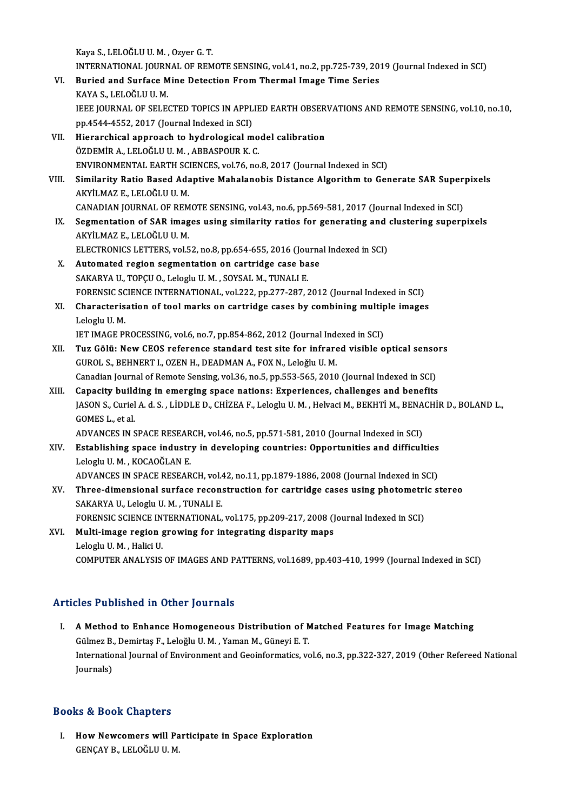Kaya S.,LELOĞLUU.M. ,OzyerG.T.

- Kaya S., LELOĞLU U. M. , Ozyer G. T.<br>INTERNATIONAL JOURNAL OF REMOTE SENSING, vol.41, no.2, pp.725-739, 2019 (Journal Indexed in SCI)<br>Buried and Surface Mine Detection From Thermal Image Time Series Kaya S., LELOĞLU U. M. , Ozyer G. T.<br>INTERNATIONAL JOURNAL OF REMOTE SENSING, vol.41, no.2, pp.725-739, 20<br>VI. Buried and Surface Mine Detection From Thermal Image Time Series<br>KAYA S. LELOĞLUJU M INTERNATIONAL JOURN<br>Buried and Surface M<br>KAYA S., LELOĞLU U. M.<br>JEEE JOURNAL OF SELE Buried and Surface Mine Detection From Thermal Image Time Series<br>KAYA S., LELOĞLU U. M.<br>IEEE JOURNAL OF SELECTED TOPICS IN APPLIED EARTH OBSERVATIONS AND REMOTE SENSING, vol.10, no.10,<br>nn 4544 4552-2017 (Journal Indoved in KAYA S., LELOĞLU U. M.<br>IEEE JOURNAL OF SELECTED TOPICS IN APPL<br>pp.4544-4552, 2017 (Journal Indexed in SCI)<br>Hierarshisel approash to hydrologisel m IEEE JOURNAL OF SELECTED TOPICS IN APPLIED EARTH OBSER<br>pp.4544-4552, 2017 (Journal Indexed in SCI)<br>VII. Hierarchical approach to hydrological model calibration<br> $\ddot{\text{OZPEMI}}$  A J ELOČLUJI M APPASPOUR K C
- pp.4544-4552, 2017 (Journal Indexed in SCI)<br>Hierarchical approach to hydrological mo<br>ÖZDEMİR A., LELOĞLU U.M., ABBASPOUR K.C.<br>ENVIRONMENTAL EARTH SCIENCES vol76, no ÖZDEMİR A., LELOĞLU U. M. , ABBASPOUR K. C.<br>ENVIRONMENTAL EARTH SCIENCES, vol.76, no.8, 2017 (Journal Indexed in SCI)
- ÖZDEMİR A., LELOĞLU U. M. , ABBASPOUR K. C.<br>ENVIRONMENTAL EARTH SCIENCES, vol.76, no.8, 2017 (Journal Indexed in SCI)<br>VIII. Similarity Ratio Based Adaptive Mahalanobis Distance Algorithm to Generate SAR Superpixels<br>AKVILMA ENVIRONMENTAL EARTH SC<br>Similarity Ratio Based Ada<br>AKYİLMAZ E., LELOĞLU U. M.<br>CANADIAN IQUBNAL OF PEM Similarity Ratio Based Adaptive Mahalanobis Distance Algorithm to Generate SAR Super<br>AKYİLMAZ E., LELOĞLU U. M.<br>CANADIAN JOURNAL OF REMOTE SENSING, vol.43, no.6, pp.569-581, 2017 (Journal Indexed in SCI)<br>Segmentation of SA
- AKYİLMAZ E., LELOĞLU U. M.<br>CANADIAN JOURNAL OF REMOTE SENSING, vol.43, no.6, pp.569-581, 2017 (Journal Indexed in SCI)<br>IX. Segmentation of SAR images using similarity ratios for generating and clustering superpixels<br>AKVİLM CANADIAN JOURNAL OF REM<br>Segmentation of SAR imag<br>AKYİLMAZ E., LELOĞLU U. M.<br>ELECTRONICS LETTERS vol 5 Segmentation of SAR images using similarity ratios for generating and<br>AKYİLMAZ E., LELOĞLU U. M.<br>ELECTRONICS LETTERS, vol.52, no.8, pp.654-655, 2016 (Journal Indexed in SCI)<br>Automated nogion segmentation on sentridae sese
- AKYİLMAZ E., LELOĞLU U. M.<br>ELECTRONICS LETTERS, vol.52, no.8, pp.654-655, 2016 (Journa<br>X. Automated region segmentation on cartridge case base<br>SAKARYA U. TOPCU O. Lobgh: U. M. SOYSAL M. TUNALLE ELECTRONICS LETTERS, vol.52, no.8, pp.654-655, 2016 (Jou<br>Automated region segmentation on cartridge case ba<br>SAKARYA U., TOPÇU O., Leloglu U.M. , SOYSAL M., TUNALI E.<br>FORENSIC SCIENCE INTERNATIONAL .vol.333, np.377, 387, 3 X. Automated region segmentation on cartridge case base<br>SAKARYA U., TOPÇU O., Leloglu U. M. , SOYSAL M., TUNALI E.<br>FORENSIC SCIENCE INTERNATIONAL, vol.222, pp.277-287, 2012 (Journal Indexed in SCI) SAKARYA U., TOPÇU O., Leloglu U. M. , SOYSAL M., TUNALI E.<br>FORENSIC SCIENCE INTERNATIONAL, vol.222, pp.277-287, 2012 (Journal Indexed in SCI)<br>XI. Characterisation of tool marks on cartridge cases by combining multiple imag
- FORENSIC SC<br>Characteris<br>Leloglu U.M.<br>JET IMACE PL Characterisation of tool marks on cartridge cases by combining multip<br>Leloglu U. M.<br>IET IMAGE PROCESSING, vol.6, no.7, pp.854-862, 2012 (Journal Indexed in SCI)<br>Tug Cêlü: Now CEOS reference standard test site for infrared
- Leloglu U. M.<br>IET IMAGE PROCESSING, vol.6, no.7, pp.854-862, 2012 (Journal Indexed in SCI)<br>XII. Tuz Gölü: New CEOS reference standard test site for infrared visible optical sensors<br>CUPOLS IET IMAGE PROCESSING, vol.6, no.7, pp.854-862, 2012 (Journal Indexed in SCI)<br>Tuz Gölü: New CEOS reference standard test site for infrared visible optical senso<br>GUROL S., BEHNERT I., OZEN H., DEADMAN A., FOX N., Leloğlu U.M Tuz Gölü: New CEOS reference standard test site for infrared visible optical senso<br>GUROL S., BEHNERT I., OZEN H., DEADMAN A., FOX N., Leloğlu U. M.<br>Canadian Journal of Remote Sensing, vol.36, no.5, pp.553-565, 2010 (Journa
- XIII. Capacity building in emerging space nations: Experiences, challenges and benefits Canadian Journal of Remote Sensing, vol.36, no.5, pp.553-565, 2010 (Journal Indexed in SCI)<br>Capacity building in emerging space nations: Experiences, challenges and benefits<br>JASON S., Curiel A. d. S. , LİDDLE D., CHİZEA F. Capacity build<br>JASON S., Curiel<br>GOMES L., et al.<br>ADVANCES IN S JASON S., Curiel A. d. S. , LİDDLE D., CHİZEA F., Leloglu U. M. , Helvaci M., BEKHTİ M., BENA<br>GOMES L., et al.<br>ADVANCES IN SPACE RESEARCH, vol.46, no.5, pp.571-581, 2010 (Journal Indexed in SCI)<br>Establishing anace industry

- GOMES L., et al.<br>ADVANCES IN SPACE RESEARCH, vol.46, no.5, pp.571-581, 2010 (Journal Indexed in SCI)<br>XIV. Establishing space industry in developing countries: Opportunities and difficulties ADVANCES IN SPACE RESEAR<br>Establishing space industr<br>Leloglu U.M., KOCAOĞLAN E.<br>ADVANCES IN SPACE PESEAP Establishing space industry in developing countries: Opportunities and difficulties<br>Leloglu U. M. , KOCAOĞLAN E.<br>ADVANCES IN SPACE RESEARCH, vol.42, no.11, pp.1879-1886, 2008 (Journal Indexed in SCI)<br>Three dimensional surf
- Leloglu U. M. , KOCAOĞLAN E.<br>ADVANCES IN SPACE RESEARCH, vol.42, no.11, pp.1879-1886, 2008 (Journal Indexed in SCI)<br>XV. Three-dimensional surface reconstruction for cartridge cases using photometric stereo ADVANCES IN SPACE RESEARCH, vol.4<br>Three-dimensional surface recon:<br>SAKARYA U., Leloglu U. M. , TUNALI E.<br>FORENSIC SCIENCE INTERNATIONAL Three-dimensional surface reconstruction for cartridge cases using photometri<br>SAKARYA U., Leloglu U. M. , TUNALI E.<br>FORENSIC SCIENCE INTERNATIONAL, vol.175, pp.209-217, 2008 (Journal Indexed in SCI)<br>Multi image region grow SAKARYA U., Leloglu U. M., TUNALI E.<br>FORENSIC SCIENCE INTERNATIONAL, vol.175, pp.209-217, 2008 (J<br>XVI. Multi-image region growing for integrating disparity maps
- FORENSIC SCIENCE IN<br>Multi-image region<br>Leloglu U. M. , Halici U.<br>COMBUTER ANALYSIS XVI. Multi-image region growing for integrating disparity maps<br>Leloglu U. M. , Halici U.<br>COMPUTER ANALYSIS OF IMAGES AND PATTERNS, vol.1689, pp.403-410, 1999 (Journal Indexed in SCI)

## Articles Published in Other Journals

rticles Published in Other Journals<br>I. A Method to Enhance Homogeneous Distribution of Matched Features for Image Matching SEC 1 defining a metallic pour nuits<br>A Method to Enhance Homogeneous Distribution of M<br>Gülmez B., Demirtaş F., Leloğlu U.M., Yaman M., Güneyi E.T. International Journal of Environment and Geoinformatics, vol.6, no.3, pp.322-327, 2019 (Other Refereed National<br>Journals) Gülmez B., Demirtas F., Leloğlu U. M., Yaman M., Güneyi E. T.

## Books&Book Chapters

OOks & Book Chapters<br>I. How Newcomers will Participate in Space Exploration<br>CENCAV B J ELOČUJU M de de de de de la picture<br>How Newcomers will Pa<br>GENÇAY B., LELOĞLU U. M.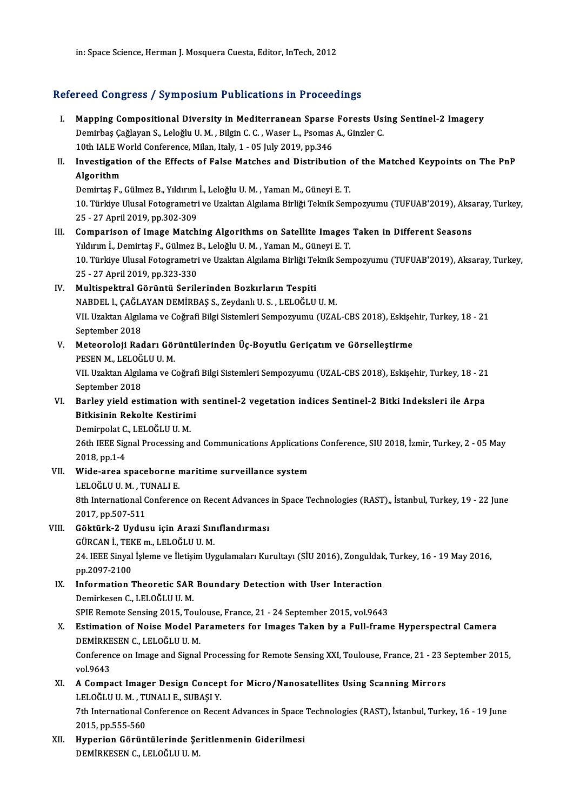in: Space Science, Herman J. Mosquera Cuesta, Editor, InTech, 2012

### Refereed Congress / Symposium Publications in Proceedings

- efereed Congress / Symposium Publications in Proceedings<br>I. Mapping Compositional Diversity in Mediterranean Sparse Forests Using Sentinel-2 Imagery<br>Demirbas Cağlavan S. Lolağlu II.M., Bilgin C. C. Wasar L. Beamas A. Cingl Napping Compositional Diversity in Mediterranean Sparse Forests Us:<br>Demirbaş Çağlayan S., Leloğlu U.M. , Bilgin C. C. , Waser L., Psomas A., Ginzler C.<br>10th JALE World Conference Milen, Italy 1, 05 July 2019, np.346 Mapping Compositional Diversity in Mediterranean Sparse<br>Demirbaş Çağlayan S., Leloğlu U. M. , Bilgin C. C. , Waser L., Psomas<br>10th IALE World Conference, Milan, Italy, 1 - 05 July 2019, pp.346<br>Investigation of the Effects Demirbaş Çağlayan S., Leloğlu U. M. , Bilgin C. C. , Waser L., Psomas A., Ginzler C.<br>10th IALE World Conference, Milan, Italy, 1 - 05 July 2019, pp.346<br>II. Investigation of the Effects of False Matches and Distribution of
- 10th IALE World Conference, Milan, Italy, 1 05 July 2019, pp.346<br>Investigation of the Effects of False Matches and Distribution c<br>Algorithm<br>Demirtas F., Gülmez B., Yıldırım İ., Leloğlu U. M., Yaman M., Günevi E. T. Investigation of the Effects of False Matches and Distribution (<br>Algorithm<br>Demirtaş F., Gülmez B., Yıldırım İ., Leloğlu U. M. , Yaman M., Güneyi E. T.<br>10. Türkiye Ulusal Estegramatri ve Uraktan Akrilama Birliği Teknik Sem

**Algorithm**<br>Demirtaş F., Gülmez B., Yıldırım İ., Leloğlu U. M. , Yaman M., Güneyi E. T.<br>10. Türkiye Ulusal Fotogrametri ve Uzaktan Algılama Birliği Teknik Sempozyumu (TUFUAB'2019), Aksaray, Turkey,<br>25. ...<sup>27. April 2019, </sup> Demirtaş F., Gülmez B., Yıldırım<br>10. Türkiye Ulusal Fotogrametri<br>25 - 27 April 2019, pp.302-309<br>Companison of Image Mateb 10. Türkiye Ulusal Fotogrametri ve Uzaktan Algılama Birliği Teknik Sempozyumu (TUFUAB'2019), Aksa<br>25 - 27 April 2019, pp.302-309<br>III. Comparison of Image Matching Algorithms on Satellite Images Taken in Different Seasons<br>V

## 25 - 27 April 2019, pp.302-309<br>III. Comparison of Image Matching Algorithms on Satellite Images Taken in Different Seasons<br>Yıldırım İ., Demirtaş F., Gülmez B., Leloğlu U.M., Yaman M., Güneyi E. T. Comparison of Image Matching Algorithms on Satellite Images Taken in Different Seasons<br>Yıldırım İ., Demirtaş F., Gülmez B., Leloğlu U. M. , Yaman M., Güneyi E. T.<br>10. Türkiye Ulusal Fotogrametri ve Uzaktan Algılama Birliği Yıldırım İ., Demirtaş F., Gülmez E<br>10. Türkiye Ulusal Fotogrametri<br>25 - 27 April 2019, pp.323-330<br>Multionektral Görüntü Serile

10. Türkiye Ulusal Fotogrametri ve Uzaktan Algılama Birliği Te<br>25 - 27 April 2019, pp.323-330<br>IV. Multispektral Görüntü Serilerinden Bozkırların Tespiti 25 - 27 April 2019, pp.323-330<br>Multispektral Görüntü Serilerinden Bozkırların Tespiti<br>NABDEL l., ÇAĞLAYAN DEMİRBAŞ S., Zeydanlı U. S. , LELOĞLU U. M.<br>VIL Uraltan Alrılama ve Çoğrafi Bilgi Sistemleri Somnozuumu (UZA) IV. Multispektral Görüntü Serilerinden Bozkırların Tespiti<br>NABDEL 1., ÇAĞLAYAN DEMİRBAŞ S., Zeydanlı U. S. , LELOĞLU U. M.<br>VII. Uzaktan Algılama ve Coğrafi Bilgi Sistemleri Sempozyumu (UZAL-CBS 2018), Eskişehir, Turkey, 18 NABDEL l., ÇAĞL*ı*<br>VII. Uzaktan Algıla<br>September 2018<br>Mataoralaji Bas VII. Uzaktan Algılama ve Coğrafi Bilgi Sistemleri Sempozyumu (UZAL-CBS 2018), Eskişe<br>September 2018<br>V. Meteoroloji Radarı Görüntülerinden Üç-Boyutlu Geriçatım ve Görselleştirme<br>PESEN M. LELOČLUJU M

September 2018<br><mark>Meteoroloji Radarı Gör</mark><br>PESEN M., LELOĞLU U. M.<br><sup>VII. Hraktan Akılama ve C</sup> Meteoroloji Radarı Görüntülerinden Üç-Boyutlu Geriçatım ve Görselleştirme<br>PESEN M., LELOĞLU U. M.<br>VII. Uzaktan Algılama ve Coğrafi Bilgi Sistemleri Sempozyumu (UZAL-CBS 2018), Eskişehir, Turkey, 18 - 21<br>Sentember 2018

PESEN M., LELOĞ<br>VII. Uzaktan Algıla<br>September 2018<br>Parlav viald ast VII. Uzaktan Algılama ve Coğrafi Bilgi Sistemleri Sempozyumu (UZAL-CBS 2018), Eskişehir, Turkey, 18 - 21<br>September 2018<br>VI. Barley yield estimation with sentinel-2 vegetation indices Sentinel-2 Bitki Indeksleri ile Arpa<br>Bi

September 2018<br>Barley yield estimation with<br>Bitkisinin Rekolte Kestirimi<br>Demimelat C. LELOČLUJU M Barley yield estimation wit<br>Bitkisinin Rekolte Kestirim<br>Demirpolat C., LELOĞLU U. M.<br>26th IEEE Signal Processing al

Bitkisinin Rekolte Kestirimi<br>Demirpolat C., LELOĞLU U. M.<br>26th IEEE Signal Processing and Communications Applications Conference, SIU 2018, İzmir, Turkey, 2 - 05 May 2018,pp.1-4 26th IEEE Signal Processing and Communications Application<br>2018, pp.1-4<br>VII. Wide-area spaceborne maritime surveillance system<br>LELOČLUJ M TINALLE

- 2018, pp.1-4<br>Wide-area spaceborne r<br>LELOĞLU U. M. , TUNALI E.<br><sup>9th International Conferen</sup> 8th International Conference on Recent Advances in Space Technologies (RAST),, İstanbul, Turkey, 19 - 22 June<br>2017, pp.507-511 LELOĞLU U M , TUNALI E
- VIII. Göktürk-2 Uydusu için Arazi Sınıflandırması 2017, pp.507-511<br>Göktürk-2 Uydusu için Arazi Sın<br>GÜRCAN İ., TEKE m., LELOĞLU U. M.<br>24 JEEE Sinyal İslama va İlatisim Uv. 24. IEEE Sinyal İşleme ve İletişim Uygulamaları Kurultayı (SİU 2016), Zonguldak, Turkey, 16 - 19 May 2016, pp. 2097-2100 GÜRCAN İ., TEK<br>24. IEEE Sinyal<br>pp.2097-2100<br>Information 1 24. IEEE Sinyal İşleme ve İletişim Uygulamaları Kurultayı (SİU 2016), Zonguldak<br>pp.2097-2100<br>IX. Information Theoretic SAR Boundary Detection with User Interaction<br>pomirkesen C. LELOČLU U.M.
	- pp.2097-2100<br>I<mark>nformation Theoretic SAR</mark><br>Demirkesen C., LELOĞLU U. M.<br>SPIE Bemete Sensing 2015, Te Information Theoretic SAR Boundary Detection with User Interaction<br>Demirkesen C., LELOĞLU U. M.<br>SPIE Remote Sensing 2015, Toulouse, France, 21 - 24 September 2015, vol.9643<br>Estimation of Noise Model Beremeters for Images T Demirkesen C., LELOĞLU U. M.<br>SPIE Remote Sensing 2015, Toulouse, France, 21 - 24 September 2015, vol.9643<br>X. Estimation of Noise Model Parameters for Images Taken by a Full-frame Hyperspectral Camera
	- DEMİRKESENC.,LELOĞLUU.M. Estimation of Noise Model Parameters for Images Taken by a Full-frame Hyperspectral Camera<br>DEMİRKESEN C., LELOĞLU U. M.<br>Conference on Image and Signal Processing for Remote Sensing XXI, Toulouse, France, 21 - 23 September DEMIRKE<br>Conferency<br>vol.9643
	- Conference on Image and Signal Processing for Remote Sensing XXI, Toulouse, France, 21 23 S<br>vol.9643<br>XI. A Compact Imager Design Concept for Micro/Nanosatellites Using Scanning Mirrors vol.9643<br>XI. A Compact Imager Design Concept for Micro/Nanosatellites Using Scanning Mirrors<br>LELOĞLU U.M. , TUNALI E., SUBAŞI Y. A Compact Imager Design Concept for Micro/Nanosatellites Using Scanning Mirrors<br>LELOĞLU U. M. , TUNALI E., SUBAŞI Y.<br>7th International Conference on Recent Advances in Space Technologies (RAST), İstanbul, Turkey, 16 - 19 J LELOĞLU U. M. , TU<br>7th International C<br>2015, pp.555-560<br>Hunorion Görünt
- 2015, pp.555-560<br>XII. 1 Hyperion Görüntülerinde Şeritlenmenin Giderilmesi DEMİRKESENC.,LELOĞLUU.M.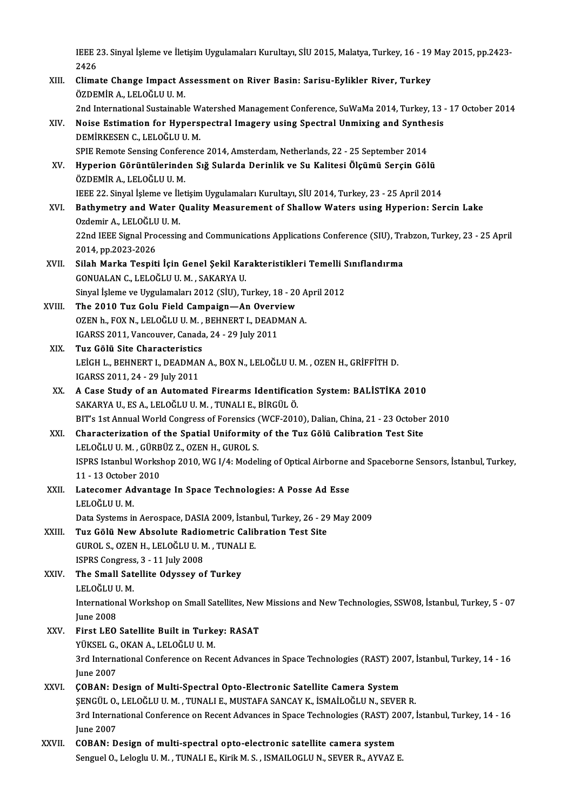IEEE 23. Sinyal İşleme ve İletişim Uygulamaları Kurultayı, SİU 2015, Malatya, Turkey, 16 - 19 May 2015, pp.2423-<br>2426 **IEEE 2**<br>2426<br>Clime IEEE 23. Sinyal İşleme ve İletişim Uygulamaları Kurultayı, SİU 2015, Malatya, Turkey, 16 - 19<br>2426<br>XIII. Climate Change Impact Assessment on River Basin: Sarisu-Eylikler River, Turkey<br>ÖZDEMİR A, LELOČLUJLM

2426<br>XIII. Climate Change Impact Assessment on River Basin: Sarisu-Eylikler River, Turkey<br>ÖZDEMİR A. LELOĞLU U. M. Climate Change Impact Assessment on River Basin: Sarisu-Eylikler River, Turkey<br>ÖZDEMİR A., LELOĞLU U. M.<br>2nd International Sustainable Watershed Management Conference, SuWaMa 2014, Turkey, 13 - 17 October 2014<br>Naise Estima

- ÖZDEMİR A., LELOĞLU U. M.<br>2nd International Sustainable Watershed Management Conference, SuWaMa 2014, Turkey, 13<br>XIV. Noise Estimation for Hyperspectral Imagery using Spectral Unmixing and Synthesis<br>DEMİRKESEN GUELOĞLULLM 2nd International Sustainable W<br>Noise Estimation for Hypers<br>DEMİRKESEN C., LELOĞLU U. M.<br>SPIE Bomete Sensing Conference Noise Estimation for Hyperspectral Imagery using Spectral Unmixing and Synthe<br>DEMİRKESEN C., LELOĞLU U. M.<br>SPIE Remote Sensing Conference 2014, Amsterdam, Netherlands, 22 - 25 September 2014<br>Hunorian Cörüntülerinden Sığ Su DEMİRKESEN C., LELOĞLU U. M.<br>SPIE Remote Sensing Conference 2014, Amsterdam, Netherlands, 22 - 25 September 2014<br>XV. Hyperion Görüntülerinden Sığ Sularda Derinlik ve Su Kalitesi Ölçümü Serçin Gölü<br>ÖZDEMİP A JELOĞLUJU M
- SPIE Remote Sensing Confer<br>Hyperion Görüntülerinde<br>ÖZDEMİR A., LELOĞLU U. M.<br>IEEE 22. Sinval İslama ve İlat Hyperion Görüntülerinden Sığ Sularda Derinlik ve Su Kalitesi Ölçümü Serçin Gölü<br>ÖZDEMİR A., LELOĞLU U. M.<br>IEEE 22. Sinyal İşleme ve İletişim Uygulamaları Kurultayı, SİU 2014, Turkey, 23 - 25 April 2014<br>Pathymetry and Water
- ÖZDEMİR A., LELOĞLU U. M.<br>IEEE 22. Sinyal İşleme ve İletişim Uygulamaları Kurultayı, SİU 2014, Turkey, 23 25 April 2014<br>XVI. Bathymetry and Water Quality Measurement of Shallow Waters using Hyperion: Sercin Lake<br>Ozdemir IEEE 22. Sinyal İşleme ve İle<br>Bath**ymetry and Water (**<br>Ozdemir A., LELOĞLU U. M.<br>22nd IEEE Simal Processin Bathymetry and Water Quality Measurement of Shallow Waters using Hyperion: Sercin Lake<br>Ozdemir A., LELOĞLU U. M.<br>22nd IEEE Signal Processing and Communications Applications Conference (SIU), Trabzon, Turkey, 23 - 25 April<br> Ozdemir A., LELOĞLU<br>22nd IEEE Signal Pro<br>2014, pp.2023-2026<br>Silah Marka Teaniti 22nd IEEE Signal Processing and Communications Applications Conference (SIU), Tra<br>2014, pp.2023-2026<br>XVII. Silah Marka Tespiti İçin Genel Şekil Karakteristikleri Temelli Sınıflandırma<br>CONUALAN GUELOČULU MUSAKARYA U
- 2014, pp.2023-2026<br>Silah Marka Tespiti İçin Genel Şekil Kar<br>GONUALAN C., LELOĞLU U. M. , SAKARYA U.<br>Sinyal İslama ve Uygulamaları 2012 (SUD. T. Silah Marka Tespiti İçin Genel Şekil Karakteristikleri Temelli S<br>GONUALAN C., LELOĞLU U. M. , SAKARYA U.<br>Sinyal İşleme ve Uygulamaları 2012 (SİU), Turkey, 18 - 20 April 2012<br>The 2010 Tur Colu Field Compaign – An Overwiew. GONUALAN C., LELOĞLU U. M. , SAKARYA U.<br>Sinyal İşleme ve Uygulamaları 2012 (SİU), Turkey, 18 - 20<br>XVIII. The 2010 Tuz Golu Field Campaign—An Overview
- Sinyal İşleme ve Uygulamaları 2012 (SİU), Turkey, 18 20 A<br>The 2010 Tuz Golu Field Campaign—An Overview<br>OZEN h., FOX N., LELOĞLU U.M., BEHNERT I., DEADMAN A. The 2010 Tuz Golu Field Campaign—An Overv<br>OZEN h., FOX N., LELOĞLU U. M. , BEHNERT I., DEADI<br>IGARSS 2011, Vancouver, Canada, 24 - 29 July 2011<br>Tuz Cēlü Site Charasteristics OZEN h., FOX N., LELOĞLU U. M.,<br>IGARSS 2011, Vancouver, Canada<br>XIX. Tuz Gölü Site Characteristics
- IGARSS 2011, Vancouver, Canada, 24 29 July 2011<br>Tuz Gölü Site Characteristics<br>LEİGH L., BEHNERT I., DEADMAN A., BOX N., LELOĞLU U. M. , OZEN H., GRİFFİTH D.<br>ICARSS 2011 24 29 July 2011 Tuz Gölü Site Characteristics<br>LEİGH L., BEHNERT I., DEADMAI<br>IGARSS 2011, 24 - 29 July 2011<br>A Gase Study of an Automate LEIGH L., BEHNERT I., DEADMAN A., BOX N., LELOĞLU U. M. , OZEN H., GRİFFİTH D.<br>IGARSS 2011, 24 - 29 July 2011<br>XX. A Case Study of an Automated Firearms Identification System: BALİSTİKA 2010<br>SAKARYA U. ES A J ELOĞLU U.
- IGARSS 2011, 24 29 July 2011<br>XX. A Case Study of an Automated Firearms Identification System: BALISTIKA 2010<br>SAKARYA U., ES A., LELOĞLU U. M. , TUNALI E., BİRGÜL Ö. A Case Study of an Automated Firearms Identification System: BALİSTİKA 2010<br>SAKARYA U., ES A., LELOĞLU U. M. , TUNALI E., BİRGÜL Ö.<br>BIT's 1st Annual World Congress of Forensics (WCF-2010), Dalian, China, 21 - 23 October 20
- SAKARYA U., ES A., LELOĞLU U. M. , TUNALI E., BİRGÜL Ö.<br>BIT's 1st Annual World Congress of Forensics (WCF-2010), Dalian, China, 21 23 October<br>XXI. Characterization of the Spatial Uniformity of the Tuz Gölü Calibratio BIT's 1st Annual World Congress of Forensics (<br>Characterization of the Spatial Uniformity<br>LELOĞLU U.M., GÜRBÜZ Z., OZEN H., GUROL S.<br>ISBBS Istanbul Workshap 2010, W.C. 1/4: Model Characterization of the Spatial Uniformity of the Tuz Gölü Calibration Test Site<br>LELOĞLU U. M. , GÜRBÜZ Z., OZEN H., GUROL S.<br>ISPRS Istanbul Workshop 2010, WG I/4: Modeling of Optical Airborne and Spaceborne Sensors, İstan LELOĞLU U. M. , GÜRB<br>ISPRS Istanbul Worksl<br>11 - 13 October 2010<br>Latasamor Advanta ISPRS Istanbul Workshop 2010, WG I/4: Modeling of Optical Airborne<br>11 - 13 October 2010<br>XXII. Latecomer Advantage In Space Technologies: A Posse Ad Esse
- 11 13 October<br>Latecomer Ad<br>LELOĞLU U.M.<br>Dete Systems in Latecomer Advantage In Space Technologies: A Posse Ad Esse<br>LELOĞLU U. M.<br>Data Systems in Aerospace, DASIA 2009, İstanbul, Turkey, 26 - 29 May 2009<br>Tur Gölü Navı Abasluta Padiametria Galibratian Test Site LELOĞLU U. M.<br>Data Systems in Aerospace, DASIA 2009, İstanbul, Turkey, 26 - 29<br>XXIII. Tuz Gölü New Absolute Radiometric Calibration Test Site<br>CUPOL S. QZEN H. LELOĞLU U. M. TUNALLE
	-
- Data Systems in Aerospace, DASIA 2009, İstanl<br>Tuz Gölü New Absolute Radiometric Calib<br>GUROL S., OZEN H., LELOĞLU U.M. , TUNALI E. Tuz Gölü New Absolute Radio<br>GUROL S., OZEN H., LELOĞLU U. M<br>ISPRS Congress, 3 - 11 July 2008<br>The Small Satellite Odussey at GUROL S., OZEN H., LELOĞLU U. M. , TUNAL<br>ISPRS Congress, 3 - 11 July 2008<br>XXIV. The Small Satellite Odyssey of Turkey
- ISPRS Congress<br><mark>The Small Sat</mark><br>LELOĞLU U. M.<br>International W The Small Satellite Odyssey of Turkey<br>LELOĞLU U. M.<br>International Workshop on Small Satellites, New Missions and New Technologies, SSW08, İstanbul, Turkey, 5 - 07 LELOĞLU U<br>Internation<br>June 2008<br>Einst LEO
- International Workshop on Small Satellites, New<br>June 2008<br>XXV. First LEO Satellite Built in Turkey: RASAT<br>VÜVEEL COVANA LELOČLULUM June 2008<br>First <mark>LEO Satellite Built in Turke</mark><br>YÜKSEL G., OKAN A., LELOĞLU U. M.<br><sup>2nd International Conference en Bee</sup> 3rd International Conference on Recent Advances in Space Technologies (RAST) 2007, İstanbul, Turkey, 14 - 16<br>June 2007 YÜKSEL G., OKAN A., LELOĞLU U. M.
- XXVI. COBAN: Design of Multi-Spectral Opto-Electronic Satellite Camera System June 2007<br>ÇOBAN: Design of Multi-Spectral Opto-Electronic Satellite Camera System<br>ŞENGÜL O., LELOĞLU U.M. , TUNALI E., MUSTAFA SANCAY K., İSMAİLOĞLU N., SEVER R.<br>2rd International Conference en Besent Advances in Space Tec 3rd International Conference on Recent Advances in Space Technologies (RAST) 2007, İstanbul, Turkey, 14 - 16<br>June 2007 **ŞENGÜL O.,<br>3rd Interna<br>June 2007<br>COBAN: D** 3rd International Conference on Recent Advances in Space Technologies (RAST) 20<br>June 2007<br>XXVII. COBAN: Design of multi-spectral opto-electronic satellite camera system<br>Senguel O, Lelectronic LIMALIE ViriLMAS, ISMAILOGUUN,
- June 2007<br><mark>COBAN: Design of multi-spectral opto-electronic satellite camera system</mark><br>Senguel O., Leloglu U. M. , TUNALI E., Kirik M. S. , ISMAILOGLU N., SEVER R., AYVAZ E.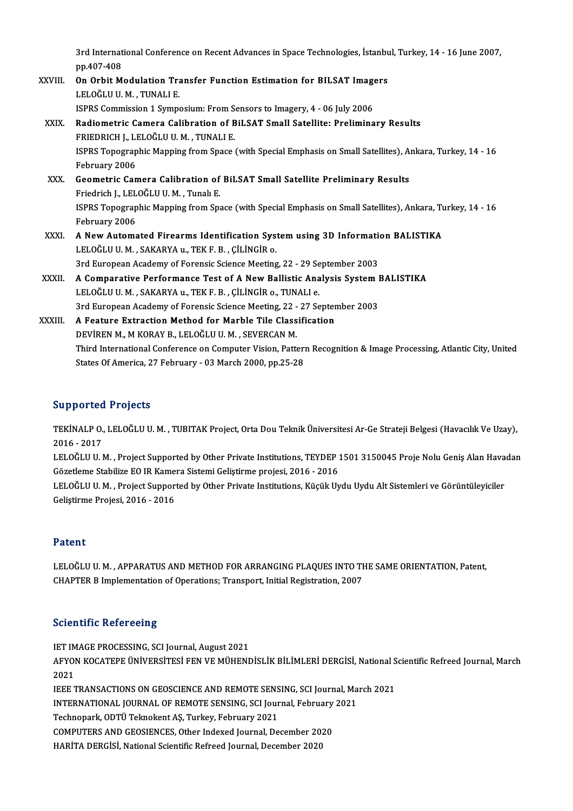3rd International Conference on Recent Advances in Space Technologies, İstanbul, Turkey, 14 - 16 June 2007,<br>nn 407 409 3rd Internat<br>pp.407-408<br>On Orbit M

3rd International Conference on Recent Advances in Space Technologies, İstanbu<br>pp.407-408<br>XXVIII. On Orbit Modulation Transfer Function Estimation for BILSAT Imagers pp.407-408<br><mark>On Orbit Modulation Tra</mark><br>LELOĞLU U. M. , TUNALI E.<br>ISPPS Commission 1 Sumne On Orbit Modulation Transfer Function Estimation for BILSAT Image<br>LELOĞLU U. M. , TUNALI E.<br>ISPRS Commission 1 Symposium: From Sensors to Imagery, 4 - 06 July 2006<br>Padiemetris Camera Calibration of Bil SAT Small Satellite: LELOĞLU U. M. , TUNALI E.<br>ISPRS Commission 1 Symposium: From Sensors to Imagery, 4 - 06 July 2006<br>XXIX. Radiometric Camera Calibration of BiLSAT Small Satellite: Preliminary Results ISPRS Commission 1 Symposium: From Sensors to Imagery, 4 - 06 July 2006 ISPRS Topographic Mapping from Space (with Special Emphasis on Small Satellites), Ankara, Turkey, 14 - 16<br>February 2006 FRIEDRICH J., LELOĞLU U. M., TUNALI E. ISPRS Topographic Mapping from Space (with Special Emphasis on Small Satellites), A<br>February 2006<br>XXX. Geometric Camera Calibration of BiLSAT Small Satellite Preliminary Results<br>Friedrich L ELOČLU LM. Tunab F February 2006<br>Geometric Camera Calibration of<br>Friedrich J., LELOĞLU U.M. , Tunalı E.<br>ISBBS Tonographic Manning from Sp ISPRS Topographic Mapping from Space (with Special Emphasis on Small Satellites), Ankara, Turkey, 14 - 16<br>February 2006 Friedrich J., LELOĞLU U. M., Tunalı E. ISPRS Topographic Mapping from Space (with Special Emphasis on Small Satellites), Ankara, Tu<br>February 2006<br>XXXI. A New Automated Firearms Identification System using 3D Information BALISTIKA February 2006<br>A New Automated Firearms Identification Sys<br>LELOĞLU U.M. , SAKARYA u., TEK F. B. , ÇİLİNGİR o.<br><sup>2nd Eunoneen Agedemy of Forengis Ssienge Mestine</sup> A New Automated Firearms Identification System using 3D Information<br>LELOĞLU U.M., SAKARYA u., TEK F.B., ÇİLİNGİR o.<br>3rd European Academy of Forensic Science Meeting, 22 - 29 September 2003<br>A Componative Borformanes Test of LELOĞLU U. M., SAKARYA u., TEK F. B., ÇİLİNGİR o.<br>3rd European Academy of Forensic Science Meeting, 22 - 29 September 2003<br>XXXII. A Comparative Performance Test of A New Ballistic Analysis System BALISTIKA 3rd European Academy of Forensic Science Meeting, 22 - 29 Se<br>A Comparative Performance Test of A New Ballistic Ana<br>LELOĞLU U.M. , SAKARYA u., TEK F. B. , ÇİLİNGİR o., TUNALI e.<br><sup>2nd European Asademy of Forensis Ssiense Mee</sup> A Comparative Performance Test of A New Ballistic Analysis System I<br>LELOĞLU U. M. , SAKARYA u., TEK F. B. , ÇİLİNGİR o., TUNALI e.<br>3rd European Academy of Forensic Science Meeting, 22 - 27 September 2003<br>A Feature Extrecti LELOĞLU U. M. , SAKARYA u., TEK F. B. , ÇİLİNGİR o., TUNALI e.<br>3rd European Academy of Forensic Science Meeting, 22 - 27 Septer<br>XXXIII. A Feature Extraction Method for Marble Tile Classification<br>DEVİREN M.. M KORAY B.. 3rd European Academy of Forensic Science Meeting, 22 - 27 September 2003 Third International Conference on Computer Vision, Pattern Recognition & Image Processing, Atlantic City, United

#### Supported Projects

**Supported Projects**<br>TEKİNALP O., LELOĞLU U. M. , TUBITAK Project, Orta Dou Teknik Üniversitesi Ar-Ge Strateji Belgesi (Havacılık Ve Uzay),<br>2016 - 2017 2010<br>2016 - 2017<br>2016 - 2017<br>2016 - 2017 TEKİNALP O., LELOĞLU U. M. , TUBITAK Project, Orta Dou Teknik Üniversitesi Ar-Ge Strateji Belgesi (Havacılık Ve Uzay),<br>2016 - 2017<br>LELOĞLU U. M. , Project Supported by Other Private Institutions, TEYDEP 1501 3150045 Proje

2016 - 2017<br>LELOĞLU U. M. , Project Supported by Other Private Institutions, TEYDEP :<br>Gözetleme Stabilize EO IR Kamera Sistemi Geliştirme projesi, 2016 - 2016<br>LELOĞLU U. M. - Project Supported by Other Private Institutions LELOĞLU U. M. , Project Supported by Other Private Institutions, TEYDEP 1501 3150045 Proje Nolu Geniş Alan Hava<br>Gözetleme Stabilize EO IR Kamera Sistemi Geliştirme projesi, 2016 - 2016<br>LELOĞLU U. M. , Project Supported by

Gözetleme Stabilize EO IR Kamera Sistemi Geliştirme projesi, 2016 - 2016<br>LELOĞLU U. M. , Project Supported by Other Private Institutions, Küçük Uydu Uydu Alt Sistemleri ve Görüntüleyiciler<br>Geliştirme Projesi, 2016 - 2016

#### Patent

Patent<br>LELOĞLU U. M. , APPARATUS AND METHOD FOR ARRANGING PLAQUES INTO THE SAME ORIENTATION, Patent,<br>CHAPTER B Implementation of Operations: Transport, Initial Begistration, 2007 r acent<br>LELOĞLU U. M. , APPARATUS AND METHOD FOR ARRANGING PLAQUES INTO TI<br>CHAPTER B Implementation of Operations; Transport, Initial Registration, 2007 CHAPTER B Implementation of Operations; Transport, Initial Registration, 2007<br>Scientific Refereeing

**Scientific Refereeing<br>IET IMAGE PROCESSING, SCI Journal, August 2021<br>AEVON KOCATERE ÜNIVERSITESI EEN VE MÜHEND** 

AFYON KOCATEPE ÜNİVERSİTESİ FEN VE MÜHENDİSLİK BİLİMLERİ DERGİSİ, National Scientific Refreed Journal, March<br>2021 IET IM<br>AFYOI<br>2021<br>IEEE 1 AFYON KOCATEPE ÜNIVERSITESI FEN VE MÜHENDISLIK BILIMLERI DERGISI, National S<br>2021<br>IEEE TRANSACTIONS ON GEOSCIENCE AND REMOTE SENSING, SCI Journal, March 2021<br>INTERNATIONAL JOURNAL OF REMOTE SENSING, SCI Journal Esbruary 20 2021<br>IEEE TRANSACTIONS ON GEOSCIENCE AND REMOTE SENSING, SCI Journal, Ma<br>INTERNATIONAL JOURNAL OF REMOTE SENSING, SCI Journal, February 2021<br>Teshnonark ODTÜ Telmokant AS Turkey February 2021

IEEE TRANSACTIONS ON GEOSCIENCE AND REMOTE SENS<br>INTERNATIONAL JOURNAL OF REMOTE SENSING, SCI Jour<br>Technopark, ODTÜ Teknokent AŞ, Turkey, February 2021<br>COMBUTERS AND CEOSIENCES Other Indexed Journal De

INTERNATIONAL JOURNAL OF REMOTE SENSING, SCI Journal, February<br>Technopark, ODTÜ Teknokent AŞ, Turkey, February 2021<br>COMPUTERS AND GEOSIENCES, Other Indexed Journal, December 2020<br>HARİTA DERÇİSİ, National Scientific Refreed

States Of America, 27 February - 03 March 2000, pp.25-28

Technopark, ODTÜ Teknokent AŞ, Turkey, February 2021<br>COMPUTERS AND GEOSIENCES, Other Indexed Journal, December 20:<br>HARİTA DERGİSİ, National Scientific Refreed Journal, December 2020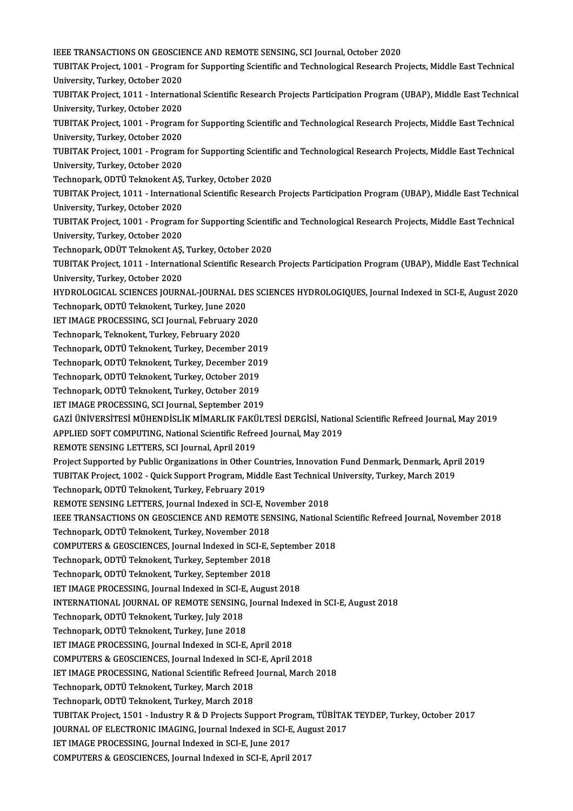IEEE TRANSACTIONS ON GEOSCIENCE AND REMOTE SENSING, SCI Journal, October 2020<br>TUBITAK Preject, 1001 . Pregram for Supporting Scientific and Technological Pessanch Pr TUBITAK Project, 1001 - Program for Supporting Scientific and Technological Research Projects, Middle East Technical<br>University, Turkey, October 2020 IEEE TRANSACTIONS ON GEOSCIE<br>TUBITAK Project, 1001 - Program<br>University, Turkey, October 2020<br>TUBITAK Project, 1011 - Internati TUBITAK Project, 1001 - Program for Supporting Scientific and Technological Research Projects, Middle East Technical<br>University, Turkey, October 2020<br>TUBITAK Project, 1011 - International Scientific Research Projects Parti University, Turkey, October 2020<br>TUBITAK Project, 1011 - Internati<br>University, Turkey, October 2020<br>TUBITAK Project, 1001 - Program TUBITAK Project, 1011 - International Scientific Research Projects Participation Program (UBAP), Middle East Technica<br>University, Turkey, October 2020<br>TUBITAK Project, 1001 - Program for Supporting Scientific and Technolog University, Turkey, October 2020<br>TUBITAK Project, 1001 - Program<br>University, Turkey, October 2020<br>TUBITAK Project, 1001 - Program TUBITAK Project, 1001 - Program for Supporting Scientific and Technological Research Projects, Middle East Technical<br>University, Turkey, October 2020<br>TUBITAK Project, 1001 - Program for Supporting Scientific and Technologi University, Turkey, October 2020<br>TUBITAK Project, 1001 - Program for Supporting Scientific and Technological Research Projects, Middle East Technical<br>University, Turkey, October 2020 TUBITAK Project, 1001 - Program for Supporting Scientif<br>University, Turkey, October 2020<br>Technopark, ODTÜ Teknokent AŞ, Turkey, October 2020<br>TUBITAK Project, 1011 - International Scientific Bessarch TUBITAK Project, 1011 - International Scientific Research Projects Participation Program (UBAP), Middle East Technical<br>University, Turkey, October 2020 Technopark, ODTÜ Teknokent AŞ,<br>TUBITAK Project, 1011 - Internati<br>University, Turkey, October 2020<br>TUBITAK Project, 1001 - Program TUBITAK Project, 1011 - International Scientific Research Projects Participation Program (UBAP), Middle East Technica<br>University, Turkey, October 2020<br>TUBITAK Project, 1001 - Program for Supporting Scientific and Technolog University, Turkey, October 2020 TUBITAK Project, 1001 - Program for Supporting Scientif<br>University, Turkey, October 2020<br>Technopark, ODÜT Teknokent AŞ, Turkey, October 2020<br>TUBITAK Project, 1011 - International Scientific Bessersh University, Turkey, October 2020<br>Technopark, ODÜT Teknokent AŞ, Turkey, October 2020<br>TUBITAK Project, 1011 - International Scientific Research Projects Participation Program (UBAP), Middle East Technical Technopark, ODÜT Teknokent AŞ, Turkey, October 2020<br>TUBITAK Project, 1011 - International Scientific Research Projects Participation Program (UBAP), Middle East Technical<br>University, Turkey, October 2020<br>HYDROLOGICAL SCIEN TUBITAK Project, 1011 - International Scientific Research Projects Participation Program (UBAP), Middle East Technical<br>University, Turkey, October 2020<br>HYDROLOGICAL SCIENCES JOURNAL-JOURNAL DES SCIENCES HYDROLOGIQUES, Jour University, Turkey, October 2020<br>HYDROLOGICAL SCIENCES JOURNAL-JOURNAL DE<br>Technopark, ODTÜ Teknokent, Turkey, June 2020<br>JET IMACE PROCESSINC, SCI Journal February 20 HYDROLOGICAL SCIENCES JOURNAL-JOURNAL DES S<br>Technopark, ODTÜ Teknokent, Turkey, June 2020<br>IET IMAGE PROCESSING, SCI Journal, February 2020<br>Technopark, Telmokent, Turkey, February 2020 Technopark, ODTÜ Teknokent, Turkey, June 2020<br>IET IMAGE PROCESSING, SCI Journal, February 2<br>Technopark, Teknokent, Turkey, February 2020<br>Technopark, ODTÜ Teknokent, Turkey, Desember IET IMAGE PROCESSING, SCI Journal, February 2020<br>Technopark, Teknokent, Turkey, February 2020<br>Technopark, ODTÜ Teknokent, Turkey, December 2019 Technopark, Teknokent, Turkey, February 2020<br>Technopark, ODTÜ Teknokent, Turkey, December 2019<br>Technopark, ODTÜ Teknokent, Turkey, December 2019<br>Technopark, ODTÜ Teknokent, Turkey, Ostober 2019 Technopark, ODTÜ Teknokent, Turkey, December 201<br>Technopark, ODTÜ Teknokent, Turkey, December 201<br>Technopark, ODTÜ Teknokent, Turkey, October 2019<br>Technopark, ODTÜ Teknokent, Turkey, October 2019 Technopark, ODTÜ Teknokent, Turkey, December 2014<br>Technopark, ODTÜ Teknokent, Turkey, October 2019<br>Technopark, ODTÜ Teknokent, Turkey, October 2019<br>IET IMACE PROCESSING, SGLANITEL Sontamber 2019 Technopark, ODTÜ Teknokent, Turkey, October 2019<br>Technopark, ODTÜ Teknokent, Turkey, October 2019<br>IET IMAGE PROCESSING, SCI Journal, September 2019 Technopark, ODTÜ Teknokent, Turkey, October 2019<br>IET IMAGE PROCESSING, SCI Journal, September 2019<br>GAZİ ÜNİVERSİTESİ MÜHENDİSLİK MİMARLIK FAKÜLTESİ DERGİSİ, National Scientific Refreed Journal, May 2019<br>APRLIED SOET COMPUT IET IMAGE PROCESSING, SCI Journal, September 2019<br>GAZİ ÜNİVERSİTESİ MÜHENDİSLİK MİMARLIK FAKÜLTESİ DERGİSİ, Nation<br>APPLIED SOFT COMPUTING, National Scientific Refreed Journal, May 2019<br>REMOTE SENSING I ETTERS, SCI Journal, APPLIED SOFT COMPUTING, National Scientific Refreed Journal, May 2019<br>REMOTE SENSING LETTERS, SCI Journal, April 2019 APPLIED SOFT COMPUTING, National Scientific Refreed Journal, May 2019<br>REMOTE SENSING LETTERS, SCI Journal, April 2019<br>Project Supported by Public Organizations in Other Countries, Innovation Fund Denmark, Denmark, April 20 REMOTE SENSING LETTERS, SCI Journal, April 2019<br>Project Supported by Public Organizations in Other Countries, Innovation Fund Denmark, Denmark, Apr<br>TUBITAK Project, 1002 - Quick Support Program, Middle East Technical Unive Technopark, ODTÜ Teknokent, Turkey, February 2019 TUBITAK Project, 1002 - Quick Support Program, Middle East Technical University, Turkey, March 2019 Technopark, ODTÜ Teknokent, Turkey, February 2019<br>REMOTE SENSING LETTERS, Journal Indexed in SCI-E, November 2018<br>IEEE TRANSACTIONS ON GEOSCIENCE AND REMOTE SENSING, National Scientific Refreed Journal, November 2018<br>Teshn REMOTE SENSING LETTERS, Journal Indexed in SCI-E, November 2018<br>IEEE TRANSACTIONS ON GEOSCIENCE AND REMOTE SENSING, Nationa<br>Technopark, ODTÜ Teknokent, Turkey, November 2018 IEEE TRANSACTIONS ON GEOSCIENCE AND REMOTE SENSING, National S<br>Technopark, ODTÜ Teknokent, Turkey, November 2018<br>COMPUTERS & GEOSCIENCES, Journal Indexed in SCI-E, September 2018<br>Technopark, ODTÜ Teknokent, Turkey, Sortemb COMPUTERS & GEOSCIENCES, Journal Indexed in SCI-E, September 2018<br>Technopark, ODTÜ Teknokent, Turkey, September 2018 COMPUTERS & GEOSCIENCES, Journal Indexed in SCI-E, S<br>Technopark, ODTÜ Teknokent, Turkey, September 2018<br>Technopark, ODTÜ Teknokent, Turkey, September 2018<br>JET IMACE PROCESSING, Journal Indoved in SCLE, Augus Technopark, ODTÜ Teknokent, Turkey, September 2018<br>Technopark, ODTÜ Teknokent, Turkey, September 2018<br>IET IMAGE PROCESSING, Journal Indexed in SCI-E, August 2018<br>INTERNATIONAL JOURNAL OF REMOTE SENSING, Journal Index IET IMAGE PROCESSING, Journal Indexed in SCI-E, August 2018<br>INTERNATIONAL JOURNAL OF REMOTE SENSING, Journal Indexed in SCI-E, August 2018 Technopark, ODTÜ Teknokent, Turkey, July 2018 Technopark, ODTÜ Teknokent, Turkey, June 2018 IET IMAGE PROCESSING, Journal Indexed in SCI-E, April 2018 Technopark, ODTÜ Teknokent, Turkey, June 2018<br>IET IMAGE PROCESSING, Journal Indexed in SCI-E, April 2018<br>COMPUTERS & GEOSCIENCES, Journal Indexed in SCI-E, April 2018<br>IET IMACE PROCESSING, National Scientific Refreed Journ IET IMAGE PROCESSING, National Scientific Refreed Journal, March 2018<br>Technopark, ODTÜ Teknokent, Turkey, March 2018 COMPUTERS & GEOSCIENCES, Journal Indexed in SC<br>IET IMAGE PROCESSING, National Scientific Refreed<br>Technopark, ODTÜ Teknokent, Turkey, March 2018<br>Technopark, ODTÜ Teknokent, Turkey, March 2019 Technopark, ODTÜ Teknokent, Turkey, March 2018 Technopark, ODTÜ Teknokent, Turkey, March 2018<br>Technopark, ODTÜ Teknokent, Turkey, March 2018<br>TUBITAK Project, 1501 - Industry R & D Projects Support Program, TÜBİTAK TEYDEP, Turkey, October 2017<br>JOUPNAL OF ELECTRONIC IMAC Technopark, ODTÜ Teknokent, Turkey, March 2018<br>TUBITAK Project, 1501 - Industry R & D Projects Support Program, TÜBİTAK<br>JOURNAL OF ELECTRONIC IMAGING, Journal Indexed in SCI-E, August 2017<br>JET IMACE PROCESSING, Journal Ind TUBITAK Project, 1501 - Industry R & D Projects Support Pro<br>JOURNAL OF ELECTRONIC IMAGING, Journal Indexed in SCI-E<br>IET IMAGE PROCESSING, Journal Indexed in SCI-E, June 2017<br>COMPUTERS & CEOSCIENCES, Journal Indexed in SCI-JOURNAL OF ELECTRONIC IMAGING, Journal Indexed in SCI-E, August 2017<br>IET IMAGE PROCESSING, Journal Indexed in SCI-E, June 2017<br>COMPUTERS & GEOSCIENCES, Journal Indexed in SCI-E, April 2017